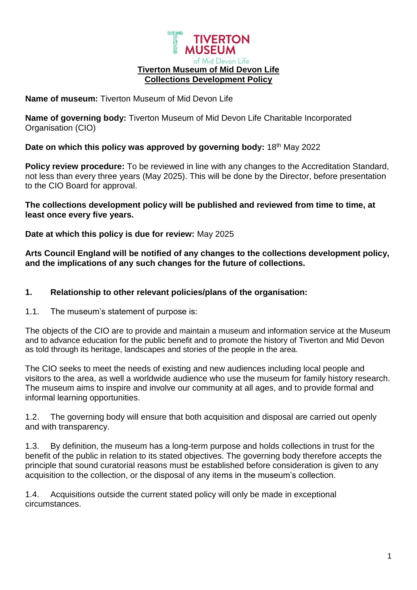

#### **Name of museum:** Tiverton Museum of Mid Devon Life

**Name of governing body:** Tiverton Museum of Mid Devon Life Charitable Incorporated Organisation (CIO)

#### **Date on which this policy was approved by governing body:** 18th May 2022

**Policy review procedure:** To be reviewed in line with any changes to the Accreditation Standard, not less than every three years (May 2025). This will be done by the Director, before presentation to the CIO Board for approval.

#### **The collections development policy will be published and reviewed from time to time, at least once every five years.**

#### **Date at which this policy is due for review:** May 2025

**Arts Council England will be notified of any changes to the collections development policy, and the implications of any such changes for the future of collections.** 

#### **1. Relationship to other relevant policies/plans of the organisation:**

#### 1.1. The museum's statement of purpose is:

The objects of the CIO are to provide and maintain a museum and information service at the Museum and to advance education for the public benefit and to promote the history of Tiverton and Mid Devon as told through its heritage, landscapes and stories of the people in the area.

The CIO seeks to meet the needs of existing and new audiences including local people and visitors to the area, as well a worldwide audience who use the museum for family history research. The museum aims to inspire and involve our community at all ages, and to provide formal and informal learning opportunities.

1.2. The governing body will ensure that both acquisition and disposal are carried out openly and with transparency.

1.3. By definition, the museum has a long-term purpose and holds collections in trust for the benefit of the public in relation to its stated objectives. The governing body therefore accepts the principle that sound curatorial reasons must be established before consideration is given to any acquisition to the collection, or the disposal of any items in the museum's collection.

1.4. Acquisitions outside the current stated policy will only be made in exceptional circumstances.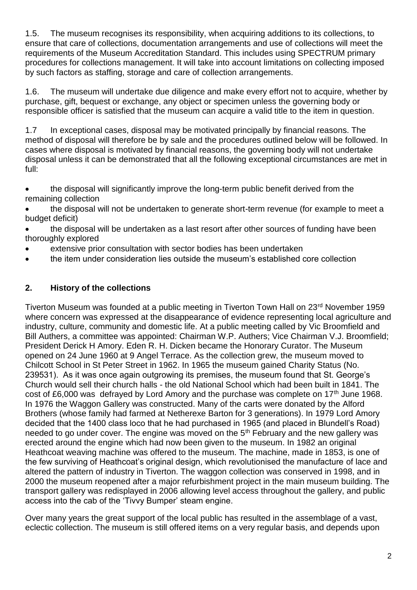1.5. The museum recognises its responsibility, when acquiring additions to its collections, to ensure that care of collections, documentation arrangements and use of collections will meet the requirements of the Museum Accreditation Standard. This includes using SPECTRUM primary procedures for collections management. It will take into account limitations on collecting imposed by such factors as staffing, storage and care of collection arrangements.

1.6. The museum will undertake due diligence and make every effort not to acquire, whether by purchase, gift, bequest or exchange, any object or specimen unless the governing body or responsible officer is satisfied that the museum can acquire a valid title to the item in question.

1.7 In exceptional cases, disposal may be motivated principally by financial reasons. The method of disposal will therefore be by sale and the procedures outlined below will be followed. In cases where disposal is motivated by financial reasons, the governing body will not undertake disposal unless it can be demonstrated that all the following exceptional circumstances are met in full:

 the disposal will significantly improve the long-term public benefit derived from the remaining collection

 the disposal will not be undertaken to generate short-term revenue (for example to meet a budget deficit)

 the disposal will be undertaken as a last resort after other sources of funding have been thoroughly explored

- extensive prior consultation with sector bodies has been undertaken
- the item under consideration lies outside the museum's established core collection

### **2. History of the collections**

Tiverton Museum was founded at a public meeting in Tiverton Town Hall on 23rd November 1959 where concern was expressed at the disappearance of evidence representing local agriculture and industry, culture, community and domestic life. At a public meeting called by Vic Broomfield and Bill Authers, a committee was appointed: Chairman W.P. Authers; Vice Chairman V.J. Broomfield; President Derick H Amory. Eden R. H. Dicken became the Honorary Curator. The Museum opened on 24 June 1960 at 9 Angel Terrace. As the collection grew, the museum moved to Chilcott School in St Peter Street in 1962. In 1965 the museum gained Charity Status (No. 239531). As it was once again outgrowing its premises, the museum found that St. George's Church would sell their church halls - the old National School which had been built in 1841. The cost of £6,000 was defrayed by Lord Amory and the purchase was complete on 17<sup>th</sup> June 1968. In 1976 the Waggon Gallery was constructed. Many of the carts were donated by the Alford Brothers (whose family had farmed at Netherexe Barton for 3 generations). In 1979 Lord Amory decided that the 1400 class loco that he had purchased in 1965 (and placed in Blundell's Road) needed to go under cover. The engine was moved on the  $5<sup>th</sup>$  February and the new gallery was erected around the engine which had now been given to the museum. In 1982 an original Heathcoat weaving machine was offered to the museum. The machine, made in 1853, is one of the few surviving of Heathcoat's original design, which revolutionised the manufacture of lace and altered the pattern of industry in Tiverton. The waggon collection was conserved in 1998, and in 2000 the museum reopened after a major refurbishment project in the main museum building. The transport gallery was redisplayed in 2006 allowing level access throughout the gallery, and public access into the cab of the 'Tivvy Bumper' steam engine.

Over many years the great support of the local public has resulted in the assemblage of a vast, eclectic collection. The museum is still offered items on a very regular basis, and depends upon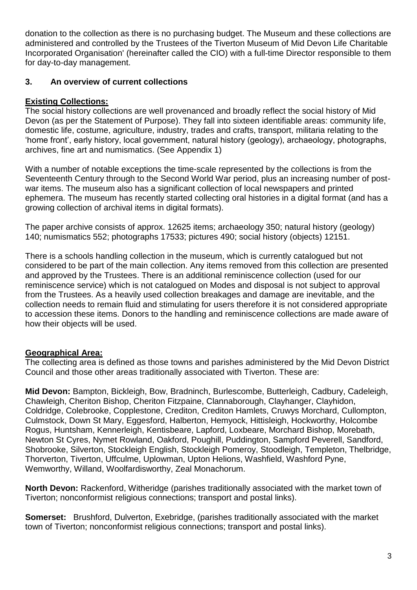donation to the collection as there is no purchasing budget. The Museum and these collections are administered and controlled by the Trustees of the Tiverton Museum of Mid Devon Life Charitable Incorporated Organisation' (hereinafter called the CIO) with a full-time Director responsible to them for day-to-day management.

## **3. An overview of current collections**

## **Existing Collections:**

The social history collections are well provenanced and broadly reflect the social history of Mid Devon (as per the Statement of Purpose). They fall into sixteen identifiable areas: community life, domestic life, costume, agriculture, industry, trades and crafts, transport, militaria relating to the 'home front', early history, local government, natural history (geology), archaeology, photographs, archives, fine art and numismatics. (See Appendix 1)

With a number of notable exceptions the time-scale represented by the collections is from the Seventeenth Century through to the Second World War period, plus an increasing number of postwar items. The museum also has a significant collection of local newspapers and printed ephemera. The museum has recently started collecting oral histories in a digital format (and has a growing collection of archival items in digital formats).

The paper archive consists of approx. 12625 items; archaeology 350; natural history (geology) 140; numismatics 552; photographs 17533; pictures 490; social history (objects) 12151.

There is a schools handling collection in the museum, which is currently catalogued but not considered to be part of the main collection. Any items removed from this collection are presented and approved by the Trustees. There is an additional reminiscence collection (used for our reminiscence service) which is not catalogued on Modes and disposal is not subject to approval from the Trustees. As a heavily used collection breakages and damage are inevitable, and the collection needs to remain fluid and stimulating for users therefore it is not considered appropriate to accession these items. Donors to the handling and reminiscence collections are made aware of how their objects will be used.

### **Geographical Area:**

The collecting area is defined as those towns and parishes administered by the Mid Devon District Council and those other areas traditionally associated with Tiverton. These are:

**Mid Devon:** Bampton, Bickleigh, Bow, Bradninch, Burlescombe, Butterleigh, Cadbury, Cadeleigh, Chawleigh, Cheriton Bishop, Cheriton Fitzpaine, Clannaborough, Clayhanger, Clayhidon, Coldridge, Colebrooke, Copplestone, Crediton, Crediton Hamlets, Cruwys Morchard, Cullompton, Culmstock, Down St Mary, Eggesford, Halberton, Hemyock, Hittisleigh, Hockworthy, Holcombe Rogus, Huntsham, Kennerleigh, Kentisbeare, Lapford, Loxbeare, Morchard Bishop, Morebath, Newton St Cyres, Nymet Rowland, Oakford, Poughill, Puddington, Sampford Peverell, Sandford, Shobrooke, Silverton, Stockleigh English, Stockleigh Pomeroy, Stoodleigh, Templeton, Thelbridge, Thorverton, Tiverton, Uffculme, Uplowman, Upton Helions, Washfield, Washford Pyne, Wemworthy, Willand, Woolfardisworthy, Zeal Monachorum.

**North Devon:** Rackenford, Witheridge (parishes traditionally associated with the market town of Tiverton; nonconformist religious connections; transport and postal links).

**Somerset:** Brushford, Dulverton, Exebridge, (parishes traditionally associated with the market town of Tiverton; nonconformist religious connections; transport and postal links).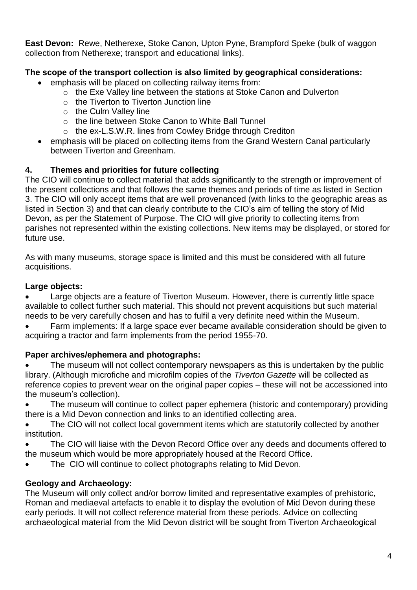**East Devon:** Rewe, Netherexe, Stoke Canon, Upton Pyne, Brampford Speke (bulk of waggon collection from Netherexe; transport and educational links).

# **The scope of the transport collection is also limited by geographical considerations:**

- emphasis will be placed on collecting railway items from:
	- o the Exe Valley line between the stations at Stoke Canon and Dulverton
	- $\circ$  the Tiverton to Tiverton Junction line
	- o the Culm Valley line
	- o the line between Stoke Canon to White Ball Tunnel
	- o the ex-L.S.W.R. lines from Cowley Bridge through Crediton
- emphasis will be placed on collecting items from the Grand Western Canal particularly between Tiverton and Greenham.

# **4. Themes and priorities for future collecting**

The CIO will continue to collect material that adds significantly to the strength or improvement of the present collections and that follows the same themes and periods of time as listed in Section 3. The CIO will only accept items that are well provenanced (with links to the geographic areas as listed in Section 3) and that can clearly contribute to the CIO's aim of telling the story of Mid Devon, as per the Statement of Purpose. The CIO will give priority to collecting items from parishes not represented within the existing collections. New items may be displayed, or stored for future use.

As with many museums, storage space is limited and this must be considered with all future acquisitions.

# **Large objects:**

 Large objects are a feature of Tiverton Museum. However, there is currently little space available to collect further such material. This should not prevent acquisitions but such material needs to be very carefully chosen and has to fulfil a very definite need within the Museum.

 Farm implements: If a large space ever became available consideration should be given to acquiring a tractor and farm implements from the period 1955-70.

# **Paper archives/ephemera and photographs:**

 The museum will not collect contemporary newspapers as this is undertaken by the public library. (Although microfiche and microfilm copies of the *Tiverton Gazette* will be collected as reference copies to prevent wear on the original paper copies – these will not be accessioned into the museum's collection).

 The museum will continue to collect paper ephemera (historic and contemporary) providing there is a Mid Devon connection and links to an identified collecting area.

 The CIO will not collect local government items which are statutorily collected by another institution.

 The CIO will liaise with the Devon Record Office over any deeds and documents offered to the museum which would be more appropriately housed at the Record Office.

The CIO will continue to collect photographs relating to Mid Devon.

# **Geology and Archaeology:**

The Museum will only collect and/or borrow limited and representative examples of prehistoric, Roman and mediaeval artefacts to enable it to display the evolution of Mid Devon during these early periods. It will not collect reference material from these periods. Advice on collecting archaeological material from the Mid Devon district will be sought from Tiverton Archaeological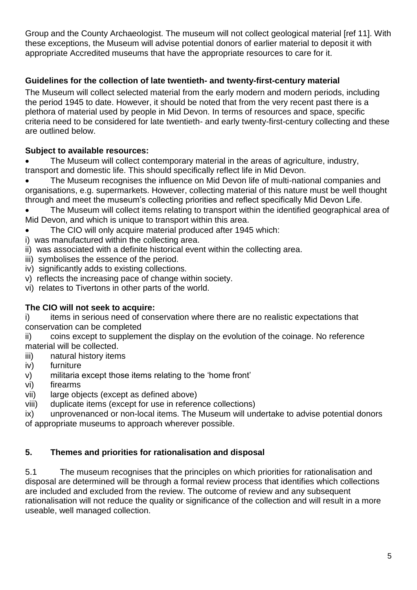Group and the County Archaeologist. The museum will not collect geological material [ref 11]. With these exceptions, the Museum will advise potential donors of earlier material to deposit it with appropriate Accredited museums that have the appropriate resources to care for it.

# **Guidelines for the collection of late twentieth- and twenty-first-century material**

The Museum will collect selected material from the early modern and modern periods, including the period 1945 to date. However, it should be noted that from the very recent past there is a plethora of material used by people in Mid Devon. In terms of resources and space, specific criteria need to be considered for late twentieth- and early twenty-first-century collecting and these are outlined below.

## **Subject to available resources:**

 The Museum will collect contemporary material in the areas of agriculture, industry, transport and domestic life. This should specifically reflect life in Mid Devon.

 The Museum recognises the influence on Mid Devon life of multi-national companies and organisations, e.g. supermarkets. However, collecting material of this nature must be well thought through and meet the museum's collecting priorities and reflect specifically Mid Devon Life.

 The Museum will collect items relating to transport within the identified geographical area of Mid Devon, and which is unique to transport within this area.

The CIO will only acquire material produced after 1945 which:

- i) was manufactured within the collecting area.
- ii) was associated with a definite historical event within the collecting area.
- iii) symbolises the essence of the period.
- iv) significantly adds to existing collections.
- v) reflects the increasing pace of change within society.
- vi) relates to Tivertons in other parts of the world.

### **The CIO will not seek to acquire:**

i) items in serious need of conservation where there are no realistic expectations that conservation can be completed

ii) coins except to supplement the display on the evolution of the coinage. No reference material will be collected.

- iii) natural history items
- iv) furniture
- v) militaria except those items relating to the 'home front'
- vi) firearms
- vii) large objects (except as defined above)
- viii) duplicate items (except for use in reference collections)

ix) unprovenanced or non-local items. The Museum will undertake to advise potential donors of appropriate museums to approach wherever possible.

### **5. Themes and priorities for rationalisation and disposal**

5.1 The museum recognises that the principles on which priorities for rationalisation and disposal are determined will be through a formal review process that identifies which collections are included and excluded from the review. The outcome of review and any subsequent rationalisation will not reduce the quality or significance of the collection and will result in a more useable, well managed collection.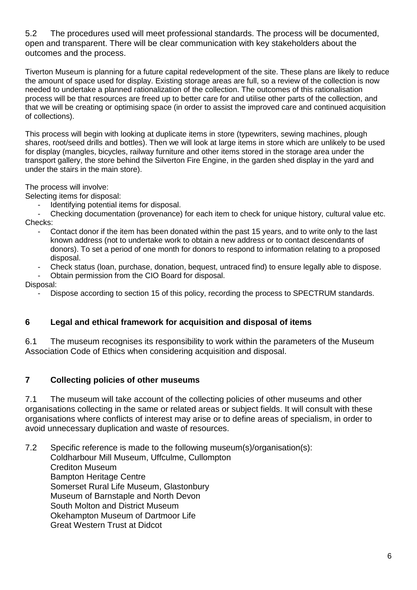5.2 The procedures used will meet professional standards. The process will be documented, open and transparent. There will be clear communication with key stakeholders about the outcomes and the process.

Tiverton Museum is planning for a future capital redevelopment of the site. These plans are likely to reduce the amount of space used for display. Existing storage areas are full, so a review of the collection is now needed to undertake a planned rationalization of the collection. The outcomes of this rationalisation process will be that resources are freed up to better care for and utilise other parts of the collection, and that we will be creating or optimising space (in order to assist the improved care and continued acquisition of collections).

This process will begin with looking at duplicate items in store (typewriters, sewing machines, plough shares, root/seed drills and bottles). Then we will look at large items in store which are unlikely to be used for display (mangles, bicycles, railway furniture and other items stored in the storage area under the transport gallery, the store behind the Silverton Fire Engine, in the garden shed display in the yard and under the stairs in the main store).

The process will involve:

Selecting items for disposal:

Identifying potential items for disposal.

Checking documentation (provenance) for each item to check for unique history, cultural value etc. Checks:

- Contact donor if the item has been donated within the past 15 years, and to write only to the last known address (not to undertake work to obtain a new address or to contact descendants of donors). To set a period of one month for donors to respond to information relating to a proposed disposal.
- Check status (loan, purchase, donation, bequest, untraced find) to ensure legally able to dispose.

- Obtain permission from the CIO Board for disposal.

Disposal:

Dispose according to section 15 of this policy, recording the process to SPECTRUM standards.

#### **6 Legal and ethical framework for acquisition and disposal of items**

6.1 The museum recognises its responsibility to work within the parameters of the Museum Association Code of Ethics when considering acquisition and disposal.

#### **7 Collecting policies of other museums**

7.1 The museum will take account of the collecting policies of other museums and other organisations collecting in the same or related areas or subject fields. It will consult with these organisations where conflicts of interest may arise or to define areas of specialism, in order to avoid unnecessary duplication and waste of resources.

7.2 Specific reference is made to the following museum(s)/organisation(s): Coldharbour Mill Museum, Uffculme, Cullompton Crediton Museum Bampton Heritage Centre Somerset Rural Life Museum, Glastonbury Museum of Barnstaple and North Devon South Molton and District Museum Okehampton Museum of Dartmoor Life Great Western Trust at Didcot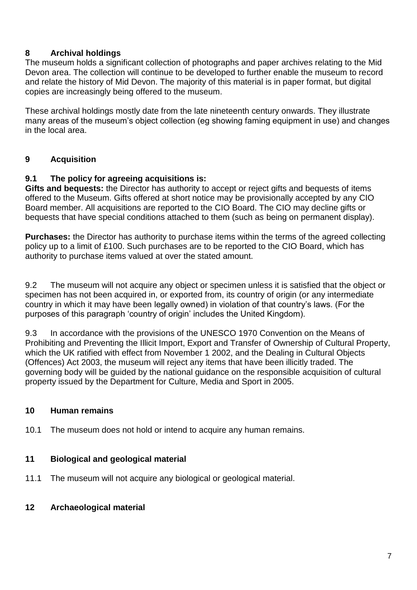# **8 Archival holdings**

The museum holds a significant collection of photographs and paper archives relating to the Mid Devon area. The collection will continue to be developed to further enable the museum to record and relate the history of Mid Devon. The majority of this material is in paper format, but digital copies are increasingly being offered to the museum.

These archival holdings mostly date from the late nineteenth century onwards. They illustrate many areas of the museum's object collection (eg showing faming equipment in use) and changes in the local area.

# **9 Acquisition**

### **9.1 The policy for agreeing acquisitions is:**

**Gifts and bequests:** the Director has authority to accept or reject gifts and bequests of items offered to the Museum. Gifts offered at short notice may be provisionally accepted by any CIO Board member. All acquisitions are reported to the CIO Board. The CIO may decline gifts or bequests that have special conditions attached to them (such as being on permanent display).

**Purchases:** the Director has authority to purchase items within the terms of the agreed collecting policy up to a limit of £100. Such purchases are to be reported to the CIO Board, which has authority to purchase items valued at over the stated amount.

9.2 The museum will not acquire any object or specimen unless it is satisfied that the object or specimen has not been acquired in, or exported from, its country of origin (or any intermediate country in which it may have been legally owned) in violation of that country's laws. (For the purposes of this paragraph 'country of origin' includes the United Kingdom).

9.3 In accordance with the provisions of the UNESCO 1970 Convention on the Means of Prohibiting and Preventing the Illicit Import, Export and Transfer of Ownership of Cultural Property, which the UK ratified with effect from November 1 2002, and the Dealing in Cultural Objects (Offences) Act 2003, the museum will reject any items that have been illicitly traded. The governing body will be guided by the national guidance on the responsible acquisition of cultural property issued by the Department for Culture, Media and Sport in 2005.

### **10 Human remains**

10.1 The museum does not hold or intend to acquire any human remains.

### **11 Biological and geological material**

11.1 The museum will not acquire any biological or geological material.

### **12 Archaeological material**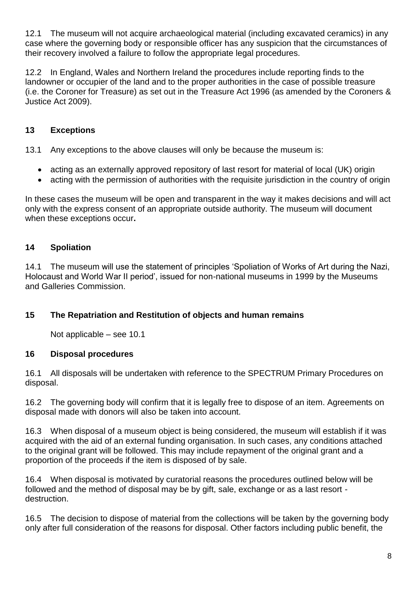12.1 The museum will not acquire archaeological material (including excavated ceramics) in any case where the governing body or responsible officer has any suspicion that the circumstances of their recovery involved a failure to follow the appropriate legal procedures.

12.2 In England, Wales and Northern Ireland the procedures include reporting finds to the landowner or occupier of the land and to the proper authorities in the case of possible treasure (i.e. the Coroner for Treasure) as set out in the Treasure Act 1996 (as amended by the Coroners & Justice Act 2009).

# **13 Exceptions**

13.1 Any exceptions to the above clauses will only be because the museum is:

- acting as an externally approved repository of last resort for material of local (UK) origin
- acting with the permission of authorities with the requisite jurisdiction in the country of origin

In these cases the museum will be open and transparent in the way it makes decisions and will act only with the express consent of an appropriate outside authority. The museum will document when these exceptions occur**.**

## **14 Spoliation**

14.1 The museum will use the statement of principles 'Spoliation of Works of Art during the Nazi, Holocaust and World War II period', issued for non-national museums in 1999 by the Museums and Galleries Commission.

### **15 The Repatriation and Restitution of objects and human remains**

Not applicable – see 10.1

### **16 Disposal procedures**

16.1 All disposals will be undertaken with reference to the SPECTRUM Primary Procedures on disposal.

16.2 The governing body will confirm that it is legally free to dispose of an item. Agreements on disposal made with donors will also be taken into account.

16.3 When disposal of a museum object is being considered, the museum will establish if it was acquired with the aid of an external funding organisation. In such cases, any conditions attached to the original grant will be followed. This may include repayment of the original grant and a proportion of the proceeds if the item is disposed of by sale.

16.4 When disposal is motivated by curatorial reasons the procedures outlined below will be followed and the method of disposal may be by gift, sale, exchange or as a last resort destruction.

16.5 The decision to dispose of material from the collections will be taken by the governing body only after full consideration of the reasons for disposal. Other factors including public benefit, the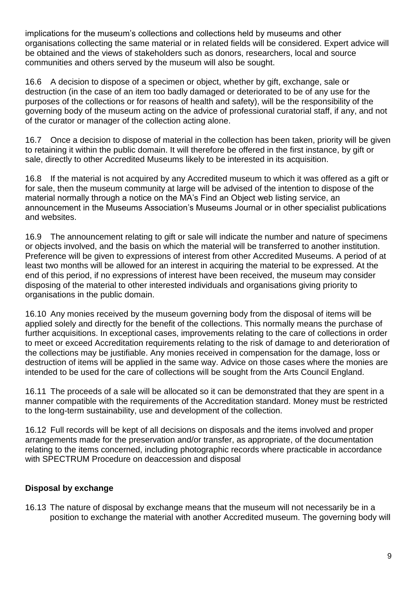implications for the museum's collections and collections held by museums and other organisations collecting the same material or in related fields will be considered. Expert advice will be obtained and the views of stakeholders such as donors, researchers, local and source communities and others served by the museum will also be sought.

16.6 A decision to dispose of a specimen or object, whether by gift, exchange, sale or destruction (in the case of an item too badly damaged or deteriorated to be of any use for the purposes of the collections or for reasons of health and safety), will be the responsibility of the governing body of the museum acting on the advice of professional curatorial staff, if any, and not of the curator or manager of the collection acting alone.

16.7 Once a decision to dispose of material in the collection has been taken, priority will be given to retaining it within the public domain. It will therefore be offered in the first instance, by gift or sale, directly to other Accredited Museums likely to be interested in its acquisition.

16.8 If the material is not acquired by any Accredited museum to which it was offered as a gift or for sale, then the museum community at large will be advised of the intention to dispose of the material normally through a notice on the MA's Find an Object web listing service, an announcement in the Museums Association's Museums Journal or in other specialist publications and websites.

16.9 The announcement relating to gift or sale will indicate the number and nature of specimens or objects involved, and the basis on which the material will be transferred to another institution. Preference will be given to expressions of interest from other Accredited Museums. A period of at least two months will be allowed for an interest in acquiring the material to be expressed. At the end of this period, if no expressions of interest have been received, the museum may consider disposing of the material to other interested individuals and organisations giving priority to organisations in the public domain.

16.10 Any monies received by the museum governing body from the disposal of items will be applied solely and directly for the benefit of the collections. This normally means the purchase of further acquisitions. In exceptional cases, improvements relating to the care of collections in order to meet or exceed Accreditation requirements relating to the risk of damage to and deterioration of the collections may be justifiable. Any monies received in compensation for the damage, loss or destruction of items will be applied in the same way. Advice on those cases where the monies are intended to be used for the care of collections will be sought from the Arts Council England.

16.11 The proceeds of a sale will be allocated so it can be demonstrated that they are spent in a manner compatible with the requirements of the Accreditation standard. Money must be restricted to the long-term sustainability, use and development of the collection.

16.12 Full records will be kept of all decisions on disposals and the items involved and proper arrangements made for the preservation and/or transfer, as appropriate, of the documentation relating to the items concerned, including photographic records where practicable in accordance with SPECTRUM Procedure on deaccession and disposal

# **Disposal by exchange**

16.13 The nature of disposal by exchange means that the museum will not necessarily be in a position to exchange the material with another Accredited museum. The governing body will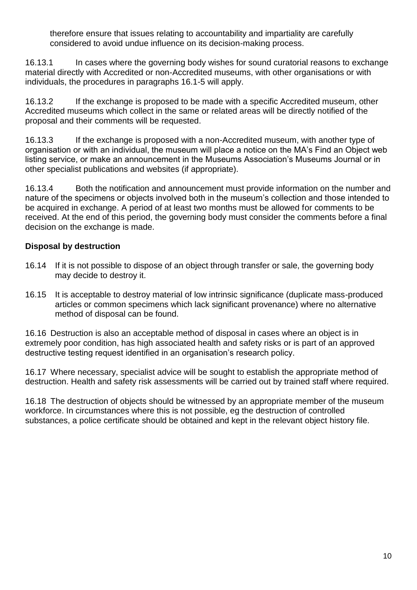therefore ensure that issues relating to accountability and impartiality are carefully considered to avoid undue influence on its decision-making process.

16.13.1 In cases where the governing body wishes for sound curatorial reasons to exchange material directly with Accredited or non-Accredited museums, with other organisations or with individuals, the procedures in paragraphs 16.1-5 will apply.

16.13.2 If the exchange is proposed to be made with a specific Accredited museum, other Accredited museums which collect in the same or related areas will be directly notified of the proposal and their comments will be requested.

16.13.3 If the exchange is proposed with a non-Accredited museum, with another type of organisation or with an individual, the museum will place a notice on the MA's Find an Object web listing service, or make an announcement in the Museums Association's Museums Journal or in other specialist publications and websites (if appropriate).

16.13.4 Both the notification and announcement must provide information on the number and nature of the specimens or objects involved both in the museum's collection and those intended to be acquired in exchange. A period of at least two months must be allowed for comments to be received. At the end of this period, the governing body must consider the comments before a final decision on the exchange is made.

## **Disposal by destruction**

- 16.14 If it is not possible to dispose of an object through transfer or sale, the governing body may decide to destroy it.
- 16.15 It is acceptable to destroy material of low intrinsic significance (duplicate mass-produced articles or common specimens which lack significant provenance) where no alternative method of disposal can be found.

16.16 Destruction is also an acceptable method of disposal in cases where an object is in extremely poor condition, has high associated health and safety risks or is part of an approved destructive testing request identified in an organisation's research policy.

16.17 Where necessary, specialist advice will be sought to establish the appropriate method of destruction. Health and safety risk assessments will be carried out by trained staff where required.

16.18 The destruction of objects should be witnessed by an appropriate member of the museum workforce. In circumstances where this is not possible, eg the destruction of controlled substances, a police certificate should be obtained and kept in the relevant object history file.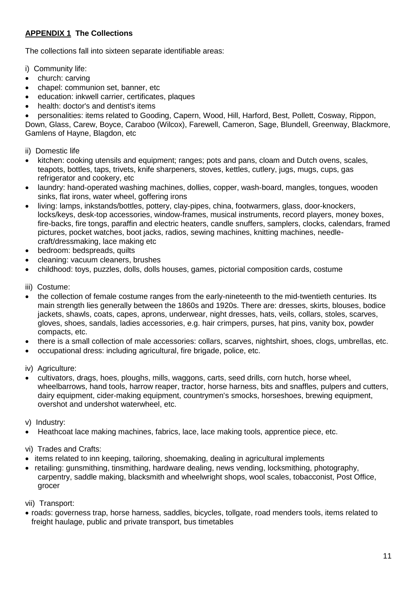## **APPENDIX 1 The Collections**

The collections fall into sixteen separate identifiable areas:

- i) Community life:
- church: carving
- chapel: communion set, banner, etc
- education: inkwell carrier, certificates, plaques
- health: doctor's and dentist's items
- personalities: items related to Gooding, Capern, Wood, Hill, Harford, Best, Pollett, Cosway, Rippon,

Down, Glass, Carew, Boyce, Caraboo (Wilcox), Farewell, Cameron, Sage, Blundell, Greenway, Blackmore, Gamlens of Hayne, Blagdon, etc

#### ii) Domestic life

- kitchen: cooking utensils and equipment; ranges; pots and pans, cloam and Dutch ovens, scales, teapots, bottles, taps, trivets, knife sharpeners, stoves, kettles, cutlery, jugs, mugs, cups, gas refrigerator and cookery, etc
- laundry: hand-operated washing machines, dollies, copper, wash-board, mangles, tongues, wooden sinks, flat irons, water wheel, goffering irons
- living: lamps, inkstands/bottles, pottery, clay-pipes, china, footwarmers, glass, door-knockers, locks/keys, desk-top accessories, window-frames, musical instruments, record players, money boxes, fire-backs, fire tongs, paraffin and electric heaters, candle snuffers, samplers, clocks, calendars, framed pictures, pocket watches, boot jacks, radios, sewing machines, knitting machines, needlecraft/dressmaking, lace making etc
- bedroom: bedspreads, quilts
- cleaning: vacuum cleaners, brushes
- childhood: toys, puzzles, dolls, dolls houses, games, pictorial composition cards, costume
- iii) Costume:
- the collection of female costume ranges from the early-nineteenth to the mid-twentieth centuries. Its main strength lies generally between the 1860s and 1920s. There are: dresses, skirts, blouses, bodice jackets, shawls, coats, capes, aprons, underwear, night dresses, hats, veils, collars, stoles, scarves, gloves, shoes, sandals, ladies accessories, e.g. hair crimpers, purses, hat pins, vanity box, powder compacts, etc.
- there is a small collection of male accessories: collars, scarves, nightshirt, shoes, clogs, umbrellas, etc.
- occupational dress: including agricultural, fire brigade, police, etc.

iv) Agriculture:

 cultivators, drags, hoes, ploughs, mills, waggons, carts, seed drills, corn hutch, horse wheel, wheelbarrows, hand tools, harrow reaper, tractor, horse harness, bits and snaffles, pulpers and cutters, dairy equipment, cider-making equipment, countrymen's smocks, horseshoes, brewing equipment, overshot and undershot waterwheel, etc.

v) Industry:

Heathcoat lace making machines, fabrics, lace, lace making tools, apprentice piece, etc.

vi) Trades and Crafts:

- items related to inn keeping, tailoring, shoemaking, dealing in agricultural implements
- retailing: gunsmithing, tinsmithing, hardware dealing, news vending, locksmithing, photography, carpentry, saddle making, blacksmith and wheelwright shops, wool scales, tobacconist, Post Office, grocer

vii) Transport:

 roads: governess trap, horse harness, saddles, bicycles, tollgate, road menders tools, items related to freight haulage, public and private transport, bus timetables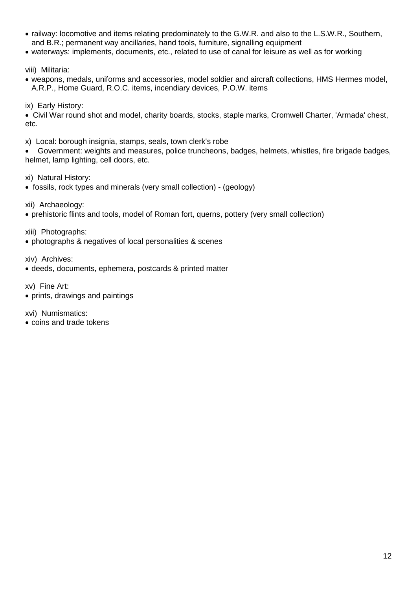- railway: locomotive and items relating predominately to the G.W.R. and also to the L.S.W.R., Southern, and B.R.; permanent way ancillaries, hand tools, furniture, signalling equipment
- waterways: implements, documents, etc., related to use of canal for leisure as well as for working

viii) Militaria:

- weapons, medals, uniforms and accessories, model soldier and aircraft collections, HMS Hermes model, A.R.P., Home Guard, R.O.C. items, incendiary devices, P.O.W. items
- ix) Early History:

 Civil War round shot and model, charity boards, stocks, staple marks, Cromwell Charter, 'Armada' chest, etc.

x) Local: borough insignia, stamps, seals, town clerk's robe

 Government: weights and measures, police truncheons, badges, helmets, whistles, fire brigade badges, helmet, lamp lighting, cell doors, etc.

xi) Natural History:

fossils, rock types and minerals (very small collection) - (geology)

xii) Archaeology:

prehistoric flints and tools, model of Roman fort, querns, pottery (very small collection)

xiii) Photographs:

photographs & negatives of local personalities & scenes

xiv) Archives:

deeds, documents, ephemera, postcards & printed matter

xv) Fine Art:

prints, drawings and paintings

xvi) Numismatics:

• coins and trade tokens